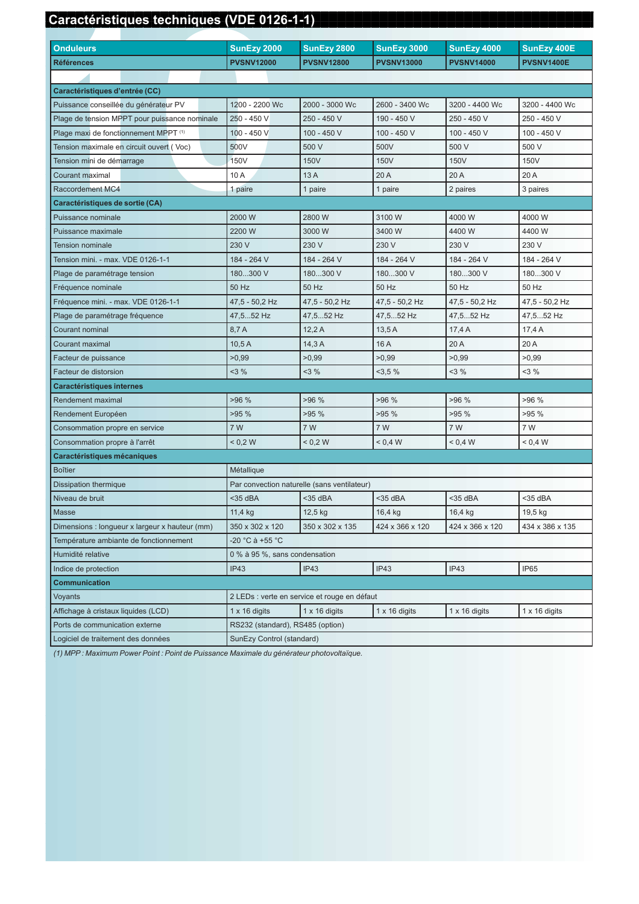## Caractéristiques techniques (VDE 0126-1-1)

| <b>Onduleurs</b>                               | SunEzy 2000                                  | SunEzy 2800          | <b>SunEzy 3000</b>   | SunEzy 4000          | SunEzy 400E          |
|------------------------------------------------|----------------------------------------------|----------------------|----------------------|----------------------|----------------------|
| <b>Références</b>                              | <b>PVSNV12000</b>                            | <b>PVSNV12800</b>    | <b>PVSNV13000</b>    | <b>PVSNV14000</b>    | <b>PVSNV1400E</b>    |
|                                                |                                              |                      |                      |                      |                      |
| Caractéristiques d'entrée (CC)                 |                                              |                      |                      |                      |                      |
| Puissance conseillée du générateur PV          | 1200 - 2200 Wc                               | 2000 - 3000 Wc       | 2600 - 3400 Wc       | 3200 - 4400 Wc       | 3200 - 4400 Wc       |
| Plage de tension MPPT pour puissance nominale  | 250 - 450 V                                  | 250 - 450 V          | 190 - 450 V          | 250 - 450 V          | 250 - 450 V          |
| Plage maxi de fonctionnement MPPT (1)          | 100 - 450 V                                  | 100 - 450 V          | 100 - 450 V          | 100 - 450 V          | 100 - 450 V          |
| Tension maximale en circuit ouvert (Voc)       | 500V                                         | 500 V                | 500V                 | 500 V                | 500 V                |
| Tension mini de démarrage                      | 150V                                         | 150V                 | 150V                 | 150V                 | 150V                 |
| Courant maximal                                | 10 A                                         | 13A                  | 20 A                 | 20 A                 | 20 A                 |
| Raccordement MC4                               | 1 paire                                      | 1 paire              | 1 paire              | 2 paires             | 3 paires             |
| Caractéristiques de sortie (CA)                |                                              |                      |                      |                      |                      |
| Puissance nominale                             | 2000 W                                       | 2800 W               | 3100 W               | 4000W                | 4000 W               |
| Puissance maximale                             | 2200 W                                       | 3000 W               | 3400 W               | 4400 W               | 4400 W               |
| <b>Tension nominale</b>                        | 230 V                                        | 230 V                | 230 V                | 230 V                | 230 V                |
| Tension mini. - max. VDE 0126-1-1              | 184 - 264 V                                  | 184 - 264 V          | 184 - 264 V          | 184 - 264 V          | 184 - 264 V          |
| Plage de paramétrage tension                   | 180300 V                                     | 180300 V             | 180300 V             | 180300 V             | 180300 V             |
| Fréquence nominale                             | 50 Hz                                        | 50 Hz                | 50 Hz                | 50 Hz                | 50 Hz                |
| Fréquence mini. - max. VDE 0126-1-1            | 47,5 - 50,2 Hz                               | 47,5 - 50,2 Hz       | 47,5 - 50,2 Hz       | 47,5 - 50,2 Hz       | 47,5 - 50,2 Hz       |
| Plage de paramétrage fréquence                 | 47.552 Hz                                    | 47,552 Hz            | 47.552 Hz            | 47,552 Hz            | 47,552 Hz            |
| Courant nominal                                | 8,7A                                         | 12,2A                | 13,5A                | 17,4A                | 17,4A                |
| Courant maximal                                | 10,5A                                        | 14,3A                | 16 A                 | 20 A                 | 20 A                 |
| Facteur de puissance                           | >0.99                                        | >0.99                | >0.99                | >0.99                | >0,99                |
| Facteur de distorsion                          | 3%                                           | 3%                   | 3,5%                 | 3%                   | 3%                   |
| <b>Caractéristiques internes</b>               |                                              |                      |                      |                      |                      |
| Rendement maximal                              | >96%                                         | >96%                 | >96%                 | >96%                 | >96%                 |
| Rendement Européen                             | >95%                                         | >95%                 | >95%                 | >95%                 | >95%                 |
| Consommation propre en service                 | 7 W                                          | 7 W                  | 7 W                  | 7 W                  | 7 W                  |
| Consommation propre à l'arrêt                  | < 0.2 W                                      | < 0.2 W              | 0.4 W                | < 0.4 W              | 0.4 W                |
| Caractéristiques mécaniques                    |                                              |                      |                      |                      |                      |
| <b>Boîtier</b>                                 | Métallique                                   |                      |                      |                      |                      |
| <b>Dissipation thermique</b>                   | Par convection naturelle (sans ventilateur)  |                      |                      |                      |                      |
| Niveau de bruit                                | $35$ dBA                                     | $35$ dBA             | <35 dBA              | <35 dBA              | <35 dBA              |
| Masse                                          | 11,4 kg                                      | 12,5 kg              | 16,4 kg              | 16,4 kg              | 19,5 kg              |
| Dimensions : longueur x largeur x hauteur (mm) | 350 x 302 x 120                              | 350 x 302 x 135      | 424 x 366 x 120      | 424 x 366 x 120      | 434 x 386 x 135      |
| Température ambiante de fonctionnement         | -20 °C à +55 °C                              |                      |                      |                      |                      |
| Humidité relative                              | 0 % à 95 %, sans condensation                |                      |                      |                      |                      |
| Indice de protection                           | IP43                                         | IP43                 | IP43                 | IP43                 | IP65                 |
| Communication                                  |                                              |                      |                      |                      |                      |
| Voyants                                        | 2 LEDs : verte en service et rouge en défaut |                      |                      |                      |                      |
| Affichage à cristaux liquides (LCD)            | $1 \times 16$ digits                         | $1 \times 16$ digits | $1 \times 16$ digits | $1 \times 16$ digits | $1 \times 16$ digits |
| Ports de communication externe                 | RS232 (standard), RS485 (option)             |                      |                      |                      |                      |
| Logiciel de traitement des données             | SunEzy Control (standard)                    |                      |                      |                      |                      |

(1) MPP : Maximum Power Point : Point de Puissance Maximale du générateur photovoltaïque.